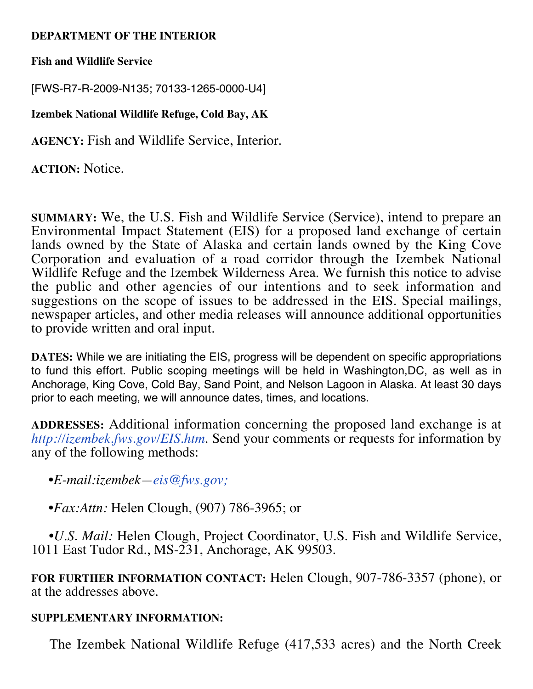## **DEPARTMENT OF THE INTERIOR**

**Fish and Wildlife Service**

[FWS-R7-R-2009-N135; 70133-1265-0000-U4]

**Izembek National Wildlife Refuge, Cold Bay, AK**

**AGENCY:** Fish and Wildlife Service, Interior.

**ACTION:** Notice.

**SUMMARY:** We, the U.S. Fish and Wildlife Service (Service), intend to prepare an Environmental Impact Statement (EIS) for a proposed land exchange of certain lands owned by the State of Alaska and certain lands owned by the King Cove Corporation and evaluation of a road corridor through the Izembek National Wildlife Refuge and the Izembek Wilderness Area. We furnish this notice to advise the public and other agencies of our intentions and to seek information and suggestions on the scope of issues to be addressed in the EIS. Special mailings, newspaper articles, and other media releases will announce additional opportunities to provide written and oral input.

**DATES:** While we are initiating the EIS, progress will be dependent on specific appropriations to fund this effort. Public scoping meetings will be held in Washington,DC, as well as in Anchorage, King Cove, Cold Bay, Sand Point, and Nelson Lagoon in Alaska. At least 30 days prior to each meeting, we will announce dates, times, and locations.

**ADDRESSES:** Additional information concerning the proposed land exchange is at *http://izembek.fws.gov/EIS.htm.* Send your comments or requests for information by any of the following methods:

•*E-mail:izembek—eis@fws.gov;*

•*Fax:Attn:* Helen Clough, (907) 786-3965; or

 •*U.S. Mail:* Helen Clough, Project Coordinator, U.S. Fish and Wildlife Service, 1011 East Tudor Rd., MS-231, Anchorage, AK 99503.

**FOR FURTHER INFORMATION CONTACT:** Helen Clough, 907-786-3357 (phone), or at the addresses above.

## **SUPPLEMENTARY INFORMATION:**

The Izembek National Wildlife Refuge (417,533 acres) and the North Creek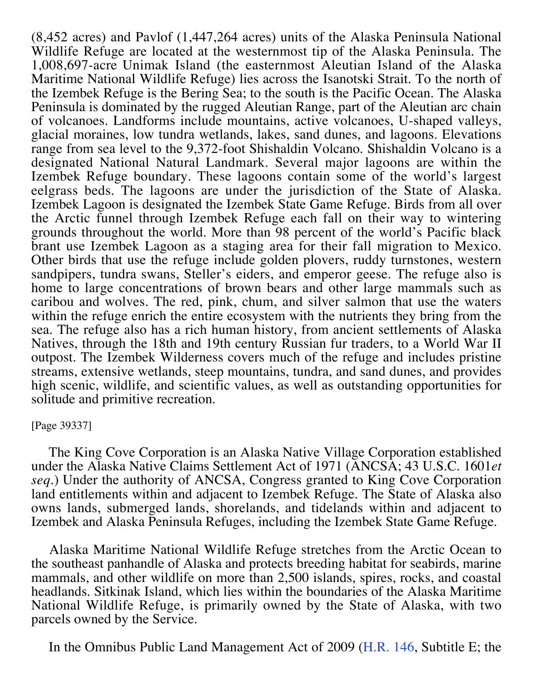(8,452 acres) and Pavlof (1,447,264 acres) units of the Alaska Peninsula National Wildlife Refuge are located at the westernmost tip of the Alaska Peninsula. The 1,008,697-acre Unimak Island (the easternmost Aleutian Island of the Alaska Maritime National Wildlife Refuge) lies across the Isanotski Strait. To the north of the Izembek Refuge is the Bering Sea; to the south is the Pacific Ocean. The Alaska Peninsula is dominated by the rugged Aleutian Range, part of the Aleutian arc chain of volcanoes. Landforms include mountains, active volcanoes, U-shaped valleys, glacial moraines, low tundra wetlands, lakes, sand dunes, and lagoons. Elevations range from sea level to the 9,372-foot Shishaldin Volcano. Shishaldin Volcano is a designated National Natural Landmark. Several major lagoons are within the Izembek Refuge boundary. These lagoons contain some of the world's largest eelgrass beds. The lagoons are under the jurisdiction of the State of Alaska. Izembek Lagoon is designated the Izembek State Game Refuge. Birds from all over the Arctic funnel through Izembek Refuge each fall on their way to wintering grounds throughout the world. More than 98 percent of the world's Pacific black brant use Izembek Lagoon as a staging area for their fall migration to Mexico. Other birds that use the refuge include golden plovers, ruddy turnstones, western sandpipers, tundra swans, Steller's eiders, and emperor geese. The refuge also is home to large concentrations of brown bears and other large mammals such as caribou and wolves. The red, pink, chum, and silver salmon that use the waters within the refuge enrich the entire ecosystem with the nutrients they bring from the sea. The refuge also has a rich human history, from ancient settlements of Alaska Natives, through the 18th and 19th century Russian fur traders, to a World War II outpost. The Izembek Wilderness covers much of the refuge and includes pristine streams, extensive wetlands, steep mountains, tundra, and sand dunes, and provides high scenic, wildlife, and scientific values, as well as outstanding opportunities for solitude and primitive recreation.

## [Page 39337]

 The King Cove Corporation is an Alaska Native Village Corporation established under the Alaska Native Claims Settlement Act of 1971 (ANCSA; 43 U.S.C. 1601*et seq.*) Under the authority of ANCSA, Congress granted to King Cove Corporation land entitlements within and adjacent to Izembek Refuge. The State of Alaska also owns lands, submerged lands, shorelands, and tidelands within and adjacent to Izembek and Alaska Peninsula Refuges, including the Izembek State Game Refuge.

 Alaska Maritime National Wildlife Refuge stretches from the Arctic Ocean to the southeast panhandle of Alaska and protects breeding habitat for seabirds, marine mammals, and other wildlife on more than 2,500 islands, spires, rocks, and coastal headlands. Sitkinak Island, which lies within the boundaries of the Alaska Maritime National Wildlife Refuge, is primarily owned by the State of Alaska, with two parcels owned by the Service.

In the Omnibus Public Land Management Act of 2009 (H.R. 146, Subtitle E; the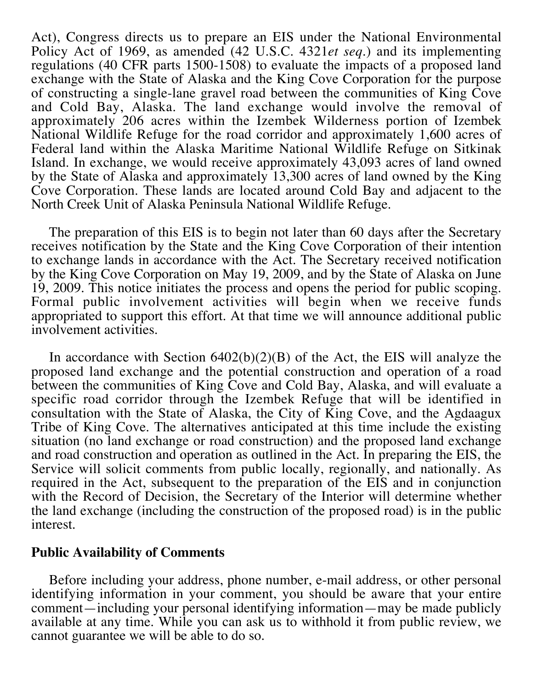Act), Congress directs us to prepare an EIS under the National Environmental Policy Act of 1969, as amended (42 U.S.C. 4321*et seq.*) and its implementing regulations (40 CFR parts 1500-1508) to evaluate the impacts of a proposed land exchange with the State of Alaska and the King Cove Corporation for the purpose of constructing a single-lane gravel road between the communities of King Cove and Cold Bay, Alaska. The land exchange would involve the removal of approximately 206 acres within the Izembek Wilderness portion of Izembek National Wildlife Refuge for the road corridor and approximately 1,600 acres of Federal land within the Alaska Maritime National Wildlife Refuge on Sitkinak Island. In exchange, we would receive approximately 43,093 acres of land owned by the State of Alaska and approximately 13,300 acres of land owned by the King Cove Corporation. These lands are located around Cold Bay and adjacent to the North Creek Unit of Alaska Peninsula National Wildlife Refuge.

 The preparation of this EIS is to begin not later than 60 days after the Secretary receives notification by the State and the King Cove Corporation of their intention to exchange lands in accordance with the Act. The Secretary received notification by the King Cove Corporation on May 19, 2009, and by the State of Alaska on June 19, 2009. This notice initiates the process and opens the period for public scoping. Formal public involvement activities will begin when we receive funds appropriated to support this effort. At that time we will announce additional public involvement activities.

In accordance with Section  $6402(b)(2)(B)$  of the Act, the EIS will analyze the proposed land exchange and the potential construction and operation of a road between the communities of King Cove and Cold Bay, Alaska, and will evaluate a specific road corridor through the Izembek Refuge that will be identified in consultation with the State of Alaska, the City of King Cove, and the Agdaagux Tribe of King Cove. The alternatives anticipated at this time include the existing situation (no land exchange or road construction) and the proposed land exchange and road construction and operation as outlined in the Act. In preparing the EIS, the Service will solicit comments from public locally, regionally, and nationally. As required in the Act, subsequent to the preparation of the EIS and in conjunction with the Record of Decision, the Secretary of the Interior will determine whether the land exchange (including the construction of the proposed road) is in the public interest.

## **Public Availability of Comments**

 Before including your address, phone number, e-mail address, or other personal identifying information in your comment, you should be aware that your entire comment—including your personal identifying information—may be made publicly available at any time. While you can ask us to withhold it from public review, we cannot guarantee we will be able to do so.